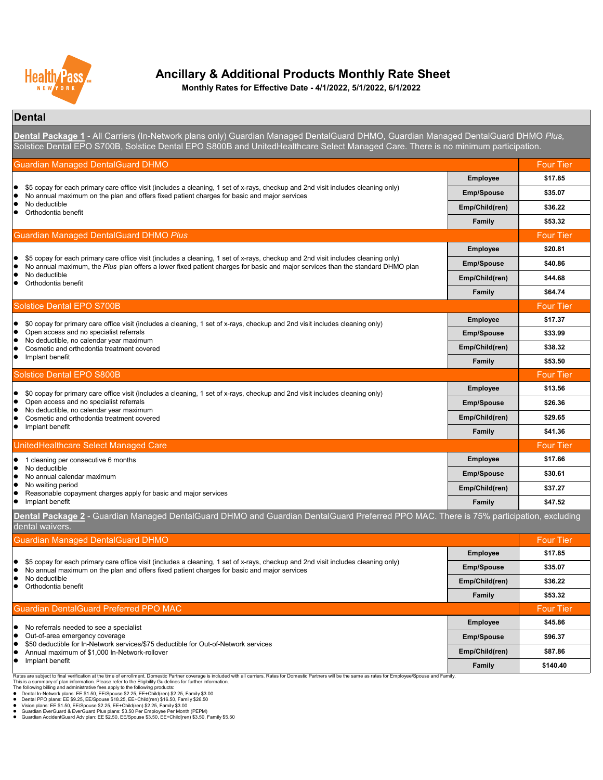#### **Dental**

This is a summary of plan information. Please refer to the Eligibility Guidelines for further information.

The following billing and administrative fees apply to the following products:

- Dental In-Network plans: EE \$1.50, EE/Spouse \$2.25, EE+Child(ren) \$2.25, Family \$3.00
- Dental PPO plans: EE \$9.25, EE/Spouse \$18.25, EE+Child(ren) \$16.50, Family \$26.50
- Vision plans: EE \$1.50, EE/Spouse \$2.25, EE+Child(ren) \$2.25, Family \$3.00
- Guardian EverGuard & EverGuard Plus plans: \$3.50 Per Employee Per Month (PEPM)
- Guardian AccidentGuard Adv plan: EE \$2.50, EE/Spouse \$3.50, EE+Child(ren) \$3.50, Family \$5.50

| <b>Guardian Managed DentalGuard DHMO</b>                                                                                                                                                                                                                            |                       | <b>Four Tier</b> |
|---------------------------------------------------------------------------------------------------------------------------------------------------------------------------------------------------------------------------------------------------------------------|-----------------------|------------------|
|                                                                                                                                                                                                                                                                     | <b>Employee</b>       | \$17.85          |
| \$5 copay for each primary care office visit (includes a cleaning, 1 set of x-rays, checkup and 2nd visit includes cleaning only)<br>No annual maximum on the plan and offers fixed patient charges for basic and major services                                    | <b>Emp/Spouse</b>     | \$35.07          |
| No deductible                                                                                                                                                                                                                                                       | <b>Emp/Child(ren)</b> | \$36.22          |
| Orthodontia benefit                                                                                                                                                                                                                                                 | <b>Family</b>         | \$53.32          |
| <b>Guardian Managed DentalGuard DHMO Plus</b>                                                                                                                                                                                                                       |                       | <b>Four Tier</b> |
|                                                                                                                                                                                                                                                                     | <b>Employee</b>       | \$20.81          |
| \$5 copay for each primary care office visit (includes a cleaning, 1 set of x-rays, checkup and 2nd visit includes cleaning only)<br>No annual maximum, the Plus plan offers a lower fixed patient charges for basic and major services than the standard DHMO plan | <b>Emp/Spouse</b>     | \$40.86          |
| No deductible                                                                                                                                                                                                                                                       | Emp/Child(ren)        | \$44.68          |
| Orthodontia benefit                                                                                                                                                                                                                                                 | <b>Family</b>         | \$64.74          |
| <b>Solstice Dental EPO S700B</b>                                                                                                                                                                                                                                    |                       | <b>Four Tier</b> |
| \$0 copay for primary care office visit (includes a cleaning, 1 set of x-rays, checkup and 2nd visit includes cleaning only)                                                                                                                                        | <b>Employee</b>       | \$17.37          |
| Open access and no specialist referrals                                                                                                                                                                                                                             | <b>Emp/Spouse</b>     | \$33.99          |
| No deductible, no calendar year maximum<br>Cosmetic and orthodontia treatment covered                                                                                                                                                                               | Emp/Child(ren)        | \$38.32          |
| Implant benefit                                                                                                                                                                                                                                                     | <b>Family</b>         | \$53.50          |
| <b>Solstice Dental EPO S800B</b>                                                                                                                                                                                                                                    |                       | <b>Four Tier</b> |
| \$0 copay for primary care office visit (includes a cleaning, 1 set of x-rays, checkup and 2nd visit includes cleaning only)                                                                                                                                        | <b>Employee</b>       | \$13.56          |
| Open access and no specialist referrals                                                                                                                                                                                                                             | <b>Emp/Spouse</b>     | \$26.36          |
| No deductible, no calendar year maximum<br>Cosmetic and orthodontia treatment covered                                                                                                                                                                               | Emp/Child(ren)        | \$29.65          |
| Implant benefit                                                                                                                                                                                                                                                     | <b>Family</b>         | \$41.36          |
| UnitedHealthcare Select Managed Care                                                                                                                                                                                                                                |                       | <b>Four Tier</b> |
| cleaning per consecutive 6 months                                                                                                                                                                                                                                   | <b>Employee</b>       | \$17.66          |
| No deductible<br>No annual calendar maximum                                                                                                                                                                                                                         | <b>Emp/Spouse</b>     | \$30.61          |
| No waiting period                                                                                                                                                                                                                                                   | Emp/Child(ren)        | \$37.27          |
| Reasonable copayment charges apply for basic and major services<br>Implant benefit                                                                                                                                                                                  | <b>Family</b>         | \$47.52          |
| Dental Package 2 - Guardian Managed DentalGuard DHMO and Guardian DentalGuard Preferred PPO MAC. There is 75% participation, excluding                                                                                                                              |                       |                  |
| dental waivers.                                                                                                                                                                                                                                                     |                       |                  |
| <b>Guardian Managed DentalGuard DHMO</b>                                                                                                                                                                                                                            |                       | <b>Four Tier</b> |
|                                                                                                                                                                                                                                                                     | <b>Employee</b>       | \$17.85          |
| \$5 copay for each primary care office visit (includes a cleaning, 1 set of x-rays, checkup and 2nd visit includes cleaning only)<br>No annual maximum on the plan and offers fixed patient charges for basic and major services                                    | <b>Emp/Spouse</b>     | \$35.07          |
| No deductible<br>Orthodontia benefit                                                                                                                                                                                                                                | Emp/Child(ren)        | \$36.22          |
|                                                                                                                                                                                                                                                                     | <b>Family</b>         | \$53.32          |
| <b>Guardian DentalGuard Preferred PPO MAC</b>                                                                                                                                                                                                                       |                       | <b>Four Tier</b> |
| No referrals needed to see a specialist                                                                                                                                                                                                                             | <b>Employee</b>       | \$45.86          |
| Out-of-area emergency coverage<br>\$50 deductible for In-Network services/\$75 deductible for Out-of-Network services                                                                                                                                               | <b>Emp/Spouse</b>     | \$96.37          |
| Annual maximum of \$1,000 In-Network-rollover                                                                                                                                                                                                                       | Emp/Child(ren)        | \$87.86          |
| Implant benefit                                                                                                                                                                                                                                                     | <b>Family</b>         | \$140.40         |

Rates are subject to final verification at the time of enrollment. Domestic Partner coverage is included with all carriers. Rates for Domestic Partners will be the same as rates for Employee/Spouse and Family.



## **Ancillary & Additional Products Monthly Rate Sheet**

**Dental Package 1** - All Carriers (In-Network plans only) Guardian Managed DentalGuard DHMO, Guardian Managed DentalGuard DHMO *Plus,*  Solstice Dental EPO S700B, Solstice Dental EPO S800B and UnitedHealthcare Select Managed Care. There is no minimum participation.

**Monthly Rates for Effective Date - 4/1/2022, 5/1/2022, 6/1/2022**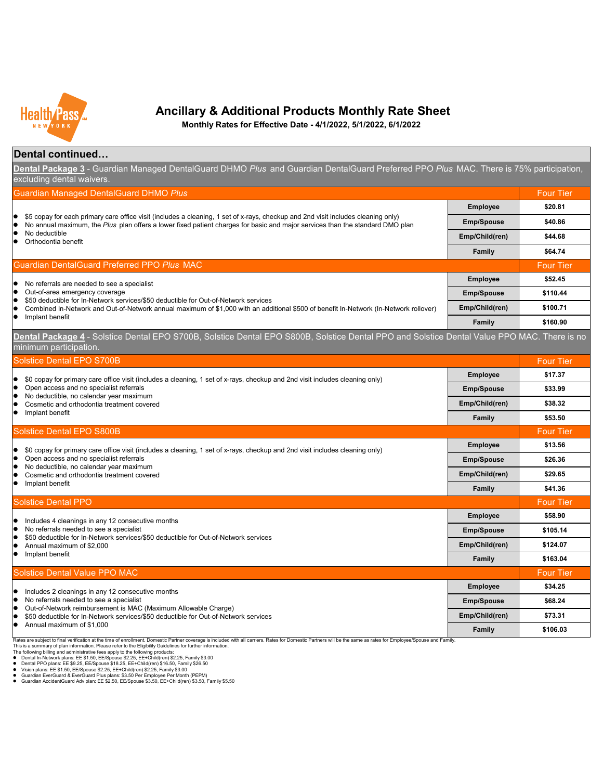#### **Dental continued…**

**Family \$106.03** Rates are subject to final verification at the time of enrollment. Domestic Partner coverage is included with all carriers. Rates for Domestic Partners will be the same as rates for Employee/Spouse and Family. This is a summary of plan information. Please refer to the Eligibility Guidelines for further information.  $\bullet$  Annual maximum of \$1,000

| <b>Guardian Managed DentalGuard DHMO Plus</b>                                                                                                                                                                                                                                       |                   | <b>Four Tier</b> |
|-------------------------------------------------------------------------------------------------------------------------------------------------------------------------------------------------------------------------------------------------------------------------------------|-------------------|------------------|
|                                                                                                                                                                                                                                                                                     | <b>Employee</b>   | \$20.81          |
| $\bullet$ \$5 copay for each primary care office visit (includes a cleaning, 1 set of x-rays, checkup and 2nd visit includes cleaning only)<br>No annual maximum, the Plus plan offers a lower fixed patient charges for basic and major services than the standard DMO plan        | <b>Emp/Spouse</b> | \$40.86          |
| No deductible<br>Orthodontia benefit                                                                                                                                                                                                                                                | Emp/Child(ren)    | \$44.68          |
|                                                                                                                                                                                                                                                                                     | <b>Family</b>     | \$64.74          |
| <b>Guardian DentalGuard Preferred PPO Plus MAC</b>                                                                                                                                                                                                                                  |                   | <b>Four Tier</b> |
| No referrals are needed to see a specialist<br>$\overline{\phantom{a}}$                                                                                                                                                                                                             | <b>Employee</b>   | \$52.45          |
| • Out-of-area emergency coverage<br>\$50 deductible for In-Network services/\$50 deductible for Out-of-Network services<br>Combined In-Network and Out-of-Network annual maximum of \$1,000 with an additional \$500 of benefit In-Network (In-Network rollover)<br>Implant benefit | <b>Emp/Spouse</b> | \$110.44         |
|                                                                                                                                                                                                                                                                                     | Emp/Child(ren)    | \$100.71         |
|                                                                                                                                                                                                                                                                                     | <b>Family</b>     | \$160.90         |

- 
- 



## **Ancillary & Additional Products Monthly Rate Sheet**

**Monthly Rates for Effective Date - 4/1/2022, 5/1/2022, 6/1/2022**

**Dental Package 3** - Guardian Managed DentalGuard DHMO *Plus* and Guardian DentalGuard Preferred PPO *Plus* MAC. There is 75% participation, excluding dental waivers.

- Dental In-Network plans: EE \$1.50, EE/Spouse \$2.25, EE+Child(ren) \$2.25, Family \$3.00
- Dental PPO plans: EE \$9.25, EE/Spouse \$18.25, EE+Child(ren) \$16.50, Family \$26.50
- Vision plans: EE \$1.50, EE/Spouse \$2.25, EE+Child(ren) \$2.25, Family \$3.00
- Guardian EverGuard & EverGuard Plus plans: \$3.50 Per Employee Per Month (PEPM)

The following billing and administrative fees apply to the following products:

| <b>Solstice Dental EPO S700B</b>                                                                                                                      |                   | <b>Four Tier</b> |
|-------------------------------------------------------------------------------------------------------------------------------------------------------|-------------------|------------------|
| \$0 copay for primary care office visit (includes a cleaning, 1 set of x-rays, checkup and 2nd visit includes cleaning only)                          | <b>Employee</b>   | \$17.37          |
| Open access and no specialist referrals                                                                                                               | <b>Emp/Spouse</b> | \$33.99          |
| No deductible, no calendar year maximum<br>$\bullet$<br>Cosmetic and orthodontia treatment covered                                                    | Emp/Child(ren)    | \$38.32          |
| Implant benefit                                                                                                                                       | Family            | \$53.50          |
| <b>Solstice Dental EPO S800B</b>                                                                                                                      |                   | <b>Four Tier</b> |
| \$0 copay for primary care office visit (includes a cleaning, 1 set of x-rays, checkup and 2nd visit includes cleaning only)                          | <b>Employee</b>   | \$13.56          |
| Open access and no specialist referrals                                                                                                               | <b>Emp/Spouse</b> | \$26.36          |
| No deductible, no calendar year maximum<br>Cosmetic and orthodontia treatment covered                                                                 | Emp/Child(ren)    | \$29.65          |
| Implant benefit                                                                                                                                       | Family            | \$41.36          |
| <b>Solstice Dental PPO</b>                                                                                                                            |                   | <b>Four Tier</b> |
| Includes 4 cleanings in any 12 consecutive months                                                                                                     | <b>Employee</b>   | \$58.90          |
| No referrals needed to see a specialist                                                                                                               | <b>Emp/Spouse</b> | \$105.14         |
| \$50 deductible for In-Network services/\$50 deductible for Out-of-Network services<br>Annual maximum of \$2,000<br>Implant benefit                   | Emp/Child(ren)    | \$124.07         |
|                                                                                                                                                       | <b>Family</b>     | \$163.04         |
| <b>Solstice Dental Value PPO MAC</b>                                                                                                                  |                   | <b>Four Tier</b> |
| Includes 2 cleanings in any 12 consecutive months                                                                                                     | <b>Employee</b>   | \$34.25          |
| No referrals needed to see a specialist                                                                                                               | <b>Emp/Spouse</b> | \$68.24          |
| Out-of-Network reimbursement is MAC (Maximum Allowable Charge)<br>\$50 deductible for In-Network services/\$50 deductible for Out-of-Network services | Emp/Child(ren)    | \$73.31          |

Guardian AccidentGuard Adv plan: EE \$2.50, EE/Spouse \$3.50, EE+Child(ren) \$3.50, Family \$5.50

**Dental Package 4** - Solstice Dental EPO S700B, Solstice Dental EPO S800B, Solstice Dental PPO and Solstice Dental Value PPO MAC. There is no minimum participation.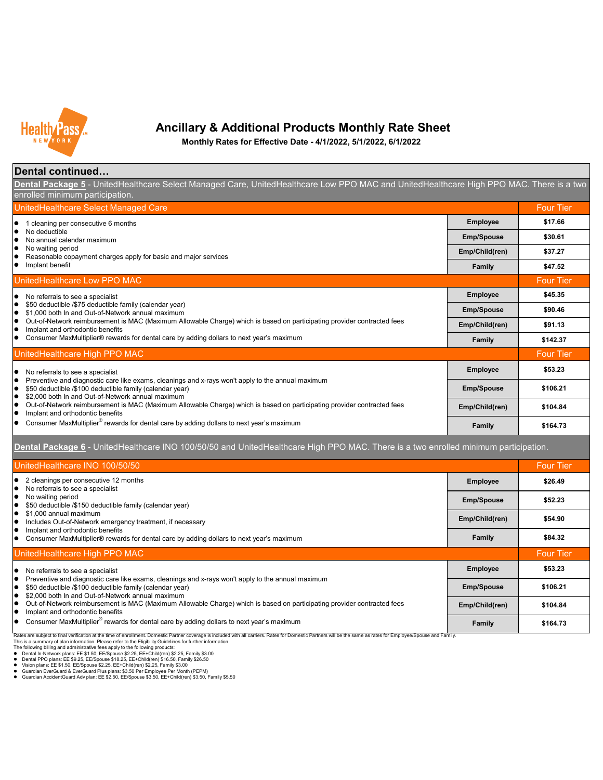#### **Dental continued…**

Guardian EverGuard & EverGuard Plus plans: \$3.50 Per Employee Per Month (PEPM)

● Guardian AccidentGuard Adv plan: EE \$2.50, EE/Spouse \$3.50, EE+Child(ren) \$3.50, Family \$5.50



## **Ancillary & Additional Products Monthly Rate Sheet**

**Monthly Rates for Effective Date - 4/1/2022, 5/1/2022, 6/1/2022**

| UnitedHealthcare INO 100/50/50                                                                                                                                                                                                                                                                                                                                                                                                                                                                                                                                                                                                                                                                |                   | <b>Four Tier</b> |
|-----------------------------------------------------------------------------------------------------------------------------------------------------------------------------------------------------------------------------------------------------------------------------------------------------------------------------------------------------------------------------------------------------------------------------------------------------------------------------------------------------------------------------------------------------------------------------------------------------------------------------------------------------------------------------------------------|-------------------|------------------|
| 2 cleanings per consecutive 12 months<br>No referrals to see a specialist                                                                                                                                                                                                                                                                                                                                                                                                                                                                                                                                                                                                                     | <b>Employee</b>   | \$26.49          |
| No waiting period<br>\$50 deductible /\$150 deductible family (calendar year)                                                                                                                                                                                                                                                                                                                                                                                                                                                                                                                                                                                                                 | <b>Emp/Spouse</b> | \$52.23          |
| \$1,000 annual maximum<br>Includes Out-of-Network emergency treatment, if necessary                                                                                                                                                                                                                                                                                                                                                                                                                                                                                                                                                                                                           | Emp/Child(ren)    | \$54.90          |
| Implant and orthodontic benefits<br>Consumer MaxMultiplier® rewards for dental care by adding dollars to next year's maximum                                                                                                                                                                                                                                                                                                                                                                                                                                                                                                                                                                  | <b>Family</b>     | \$84.32          |
| UnitedHealthcare High PPO MAC                                                                                                                                                                                                                                                                                                                                                                                                                                                                                                                                                                                                                                                                 |                   | <b>Four Tier</b> |
| No referrals to see a specialist                                                                                                                                                                                                                                                                                                                                                                                                                                                                                                                                                                                                                                                              | <b>Employee</b>   | \$53.23          |
| Preventive and diagnostic care like exams, cleanings and x-rays won't apply to the annual maximum<br>\$50 deductible /\$100 deductible family (calendar year)<br>\$2,000 both In and Out-of-Network annual maximum                                                                                                                                                                                                                                                                                                                                                                                                                                                                            | <b>Emp/Spouse</b> | \$106.21         |
| Out-of-Network reimbursement is MAC (Maximum Allowable Charge) which is based on participating provider contracted fees<br>Implant and orthodontic benefits                                                                                                                                                                                                                                                                                                                                                                                                                                                                                                                                   | Emp/Child(ren)    | \$104.84         |
| Consumer MaxMultiplier <sup>®</sup> rewards for dental care by adding dollars to next year's maximum                                                                                                                                                                                                                                                                                                                                                                                                                                                                                                                                                                                          | <b>Family</b>     | \$164.73         |
| Rates are subject to final verification at the time of enrollment. Domestic Partner coverage is included with all carriers. Rates for Domestic Partners will be the same as rates for Employee/Spouse and Family.<br>This is a summary of plan information. Please refer to the Eligibility Guidelines for further information.<br>The following billing and administrative fees apply to the following products:<br>● Dental In-Network plans: EE \$1.50, EE/Spouse \$2.25, EE+Child(ren) \$2.25, Family \$3.00<br>Dental PPO plans: EE \$9.25, EE/Spouse \$18.25, EE+Child(ren) \$16.50, Family \$26.50<br>• Vision plans: EE \$1.50, EE/Spouse \$2.25, EE+Child(ren) \$2.25, Family \$3.00 |                   |                  |

**Dental Package 6** - UnitedHealthcare INO 100/50/50 and UnitedHealthcare High PPO MAC. There is a two enrolled minimum participation.

**Dental Package 5** - UnitedHealthcare Select Managed Care, UnitedHealthcare Low PPO MAC and UnitedHealthcare High PPO MAC. There is a two enrolled minimum participation.

| UnitedHealthcare Select Managed Care                                                                                                                                                                             |                   | <b>Four Tier</b> |
|------------------------------------------------------------------------------------------------------------------------------------------------------------------------------------------------------------------|-------------------|------------------|
| cleaning per consecutive 6 months                                                                                                                                                                                | <b>Employee</b>   | \$17.66          |
| No deductible<br>No annual calendar maximum                                                                                                                                                                      | <b>Emp/Spouse</b> | \$30.61          |
| No waiting period<br>Reasonable copayment charges apply for basic and major services                                                                                                                             | Emp/Child(ren)    | \$37.27          |
| Implant benefit                                                                                                                                                                                                  | Family            | \$47.52          |
| UnitedHealthcare Low PPO MAC                                                                                                                                                                                     |                   | <b>Four Tier</b> |
| No referrals to see a specialist                                                                                                                                                                                 | <b>Employee</b>   | \$45.35          |
| \$50 deductible /\$75 deductible family (calendar year)<br>\$1,000 both In and Out-of-Network annual maximum                                                                                                     | <b>Emp/Spouse</b> | \$90.46          |
| Out-of-Network reimbursement is MAC (Maximum Allowable Charge) which is based on participating provider contracted fees<br>Implant and orthodontic benefits                                                      | Emp/Child(ren)    | \$91.13          |
| Consumer MaxMultiplier® rewards for dental care by adding dollars to next year's maximum                                                                                                                         | <b>Family</b>     | \$142.37         |
| UnitedHealthcare High PPO MAC                                                                                                                                                                                    |                   | <b>Four Tier</b> |
| No referrals to see a specialist                                                                                                                                                                                 | <b>Employee</b>   | \$53.23          |
| Preventive and diagnostic care like exams, cleanings and x-rays won't apply to the annual maximum<br>\$50 deductible /\$100 deductible family (calendar year)                                                    | <b>Emp/Spouse</b> | \$106.21         |
| \$2,000 both In and Out-of-Network annual maximum<br>Out-of-Network reimbursement is MAC (Maximum Allowable Charge) which is based on participating provider contracted fees<br>Implant and orthodontic benefits | Emp/Child(ren)    | \$104.84         |
| Consumer MaxMultiplier <sup>®</sup> rewards for dental care by adding dollars to next year's maximum                                                                                                             | Family            | \$164.73         |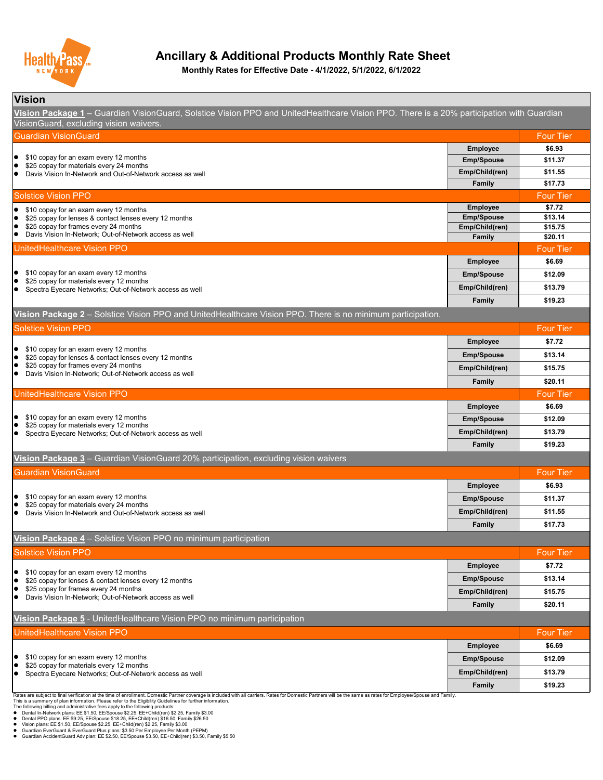#### **Vision**

This is a summary of plan information. Please refer to the Eligibility Guidelines for further information.

The following billing and administrative fees apply to the following products:

- Dental In-Network plans: EE \$1.50, EE/Spouse \$2.25, EE+Child(ren) \$2.25, Family \$3.00
- Dental PPO plans: EE \$9.25, EE/Spouse \$18.25, EE+Child(ren) \$16.50, Family \$26.50
- Vision plans: EE \$1.50, EE/Spouse \$2.25, EE+Child(ren) \$2.25, Family \$3.00
- Guardian EverGuard & EverGuard Plus plans: \$3.50 Per Employee Per Month (PEPM)

● Guardian AccidentGuard Adv plan: EE \$2.50, EE/Spouse \$3.50, EE+Child(ren) \$3.50, Family \$5.50

| <b>UnitedHealthcare Vision PPO</b>                                                                                                                                                |                   | <b>Four Tier</b> |
|-----------------------------------------------------------------------------------------------------------------------------------------------------------------------------------|-------------------|------------------|
|                                                                                                                                                                                   | <b>Employee</b>   | \$6.69           |
| $\bullet$ \$10 copay for an exam every 12 months<br>\$25 copay for materials every 12 months<br>$\bullet$<br>Spectra Eyecare Networks; Out-of-Network access as well<br>$\bullet$ | <b>Emp/Spouse</b> | \$12.09          |
|                                                                                                                                                                                   | Emp/Child(ren)    | \$13.79          |
|                                                                                                                                                                                   | <b>Family</b>     | \$19.23          |

Rates are subject to final verification at the time of enrollment. Domestic Partner coverage is included with all carriers. Rates for Domestic Partners will be the same as rates for Employee/Spouse and Family.

| <b>Solstice Vision PPO</b>                                                                                                                                               |                   | <b>Four Tier</b> |
|--------------------------------------------------------------------------------------------------------------------------------------------------------------------------|-------------------|------------------|
|                                                                                                                                                                          | <b>Employee</b>   | \$7.72           |
| \$10 copay for an exam every 12 months<br>10<br>\$25 copay for lenses & contact lenses every 12 months<br>  ●                                                            | <b>Emp/Spouse</b> | \$13.14          |
| \$25 copay for frames every 24 months<br>  ●                                                                                                                             | Emp/Child(ren)    | \$15.75          |
| Davis Vision In-Network; Out-of-Network access as well<br>I O                                                                                                            | <b>Family</b>     | \$20.11          |
| UnitedHealthcare Vision PPO                                                                                                                                              |                   | <b>Four Tier</b> |
|                                                                                                                                                                          | <b>Employee</b>   | \$6.69           |
| \$10 copay for an exam every 12 months<br>$\bullet$<br>\$25 copay for materials every 12 months                                                                          | <b>Emp/Spouse</b> | \$12.09          |
| $\blacksquare$<br>Spectra Eyecare Networks; Out-of-Network access as well                                                                                                | Emp/Child(ren)    | \$13.79          |
|                                                                                                                                                                          | Family            | \$19.23          |
| Vision Package 3 - Guardian VisionGuard 20% participation, excluding vision waivers                                                                                      |                   |                  |
| Guardian VisionGuard                                                                                                                                                     |                   | <b>Four Tier</b> |
|                                                                                                                                                                          | <b>Employee</b>   | \$6.93           |
| \$10 copay for an exam every 12 months<br>  ●<br>\$25 copay for materials every 24 months<br>$\blacksquare$<br>Davis Vision In-Network and Out-of-Network access as well | <b>Emp/Spouse</b> | \$11.37          |
|                                                                                                                                                                          | Emp/Child(ren)    | \$11.55          |
|                                                                                                                                                                          | <b>Family</b>     | \$17.73          |
| Vision Package 4 – Solstice Vision PPO no minimum participation                                                                                                          |                   |                  |
| <b>Solstice Vision PPO</b>                                                                                                                                               |                   | <b>Four Tier</b> |
|                                                                                                                                                                          | <b>Employee</b>   | \$7.72           |
| \$10 copay for an exam every 12 months<br>$\bullet$<br>\$25 copay for lenses & contact lenses every 12 months<br>  ●                                                     | <b>Emp/Spouse</b> | \$13.14          |
| \$25 copay for frames every 24 months<br>$\bullet$                                                                                                                       | Emp/Child(ren)    | \$15.75          |
| Davis Vision In-Network; Out-of-Network access as well                                                                                                                   | <b>Family</b>     | \$20.11          |



## **Ancillary & Additional Products Monthly Rate Sheet**

| Guardian VisionGuard                                                                                                                                                    |                   | <b>Four Tier</b> |
|-------------------------------------------------------------------------------------------------------------------------------------------------------------------------|-------------------|------------------|
|                                                                                                                                                                         | <b>Employee</b>   | \$6.93           |
| \$10 copay for an exam every 12 months<br>$\bullet$                                                                                                                     | <b>Emp/Spouse</b> | \$11.37          |
| \$25 copay for materials every 24 months<br>$\bullet$<br>Davis Vision In-Network and Out-of-Network access as well                                                      | Emp/Child(ren)    | \$11.55          |
|                                                                                                                                                                         | <b>Family</b>     | \$17.73          |
| <b>Solstice Vision PPO</b>                                                                                                                                              |                   | <b>Four Tier</b> |
| \$10 copay for an exam every 12 months                                                                                                                                  | <b>Employee</b>   | \$7.72           |
| \$25 copay for lenses & contact lenses every 12 months<br>$\bullet$                                                                                                     | <b>Emp/Spouse</b> | \$13.14          |
| \$25 copay for frames every 24 months<br>$\bullet$                                                                                                                      | Emp/Child(ren)    | \$15.75          |
| Davis Vision In-Network; Out-of-Network access as well<br>$\bullet$                                                                                                     | <b>Family</b>     | \$20.11          |
| UnitedHealthcare Vision PPO                                                                                                                                             |                   | <b>Four Tier</b> |
|                                                                                                                                                                         | <b>Employee</b>   | \$6.69           |
| \$10 copay for an exam every 12 months<br>$\bullet$<br>\$25 copay for materials every 12 months<br>$\bullet$<br>Spectra Eyecare Networks; Out-of-Network access as well | <b>Emp/Spouse</b> | \$12.09          |
|                                                                                                                                                                         | Emp/Child(ren)    | \$13.79          |
|                                                                                                                                                                         | <b>Family</b>     | \$19.23          |

**Vision Package 5** - UnitedHealthcare Vision PPO no minimum participation

| <u>TIVIVII I WYNWYW Y CHRYCHTOGRIOGIU TUOTI I Y HOTHIIIIOIII MONODONOII</u> |  |
|-----------------------------------------------------------------------------|--|
|                                                                             |  |

#### **Vision Package 2** – Solstice Vision PPO and UnitedHealthcare Vision PPO. There is no minimum participation.

**Monthly Rates for Effective Date - 4/1/2022, 5/1/2022, 6/1/2022**

**Vision Package 1** – Guardian VisionGuard, Solstice Vision PPO and UnitedHealthcare Vision PPO. There is a 20% participation with Guardian VisionGuard, excluding vision waivers.